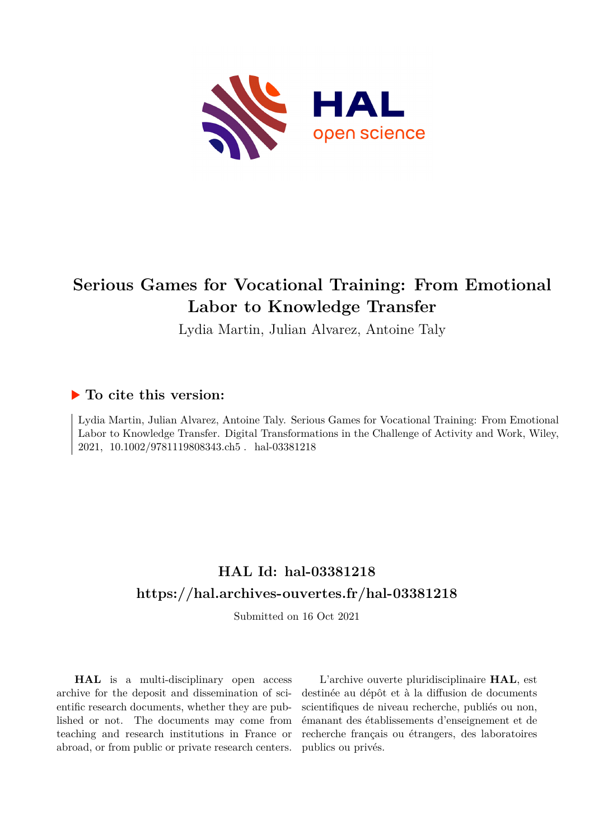

# **Serious Games for Vocational Training: From Emotional Labor to Knowledge Transfer**

Lydia Martin, Julian Alvarez, Antoine Taly

## **To cite this version:**

Lydia Martin, Julian Alvarez, Antoine Taly. Serious Games for Vocational Training: From Emotional Labor to Knowledge Transfer. Digital Transformations in the Challenge of Activity and Work, Wiley, 2021,  $10.1002/9781119808343.ch5$ . hal-03381218

# **HAL Id: hal-03381218 <https://hal.archives-ouvertes.fr/hal-03381218>**

Submitted on 16 Oct 2021

**HAL** is a multi-disciplinary open access archive for the deposit and dissemination of scientific research documents, whether they are published or not. The documents may come from teaching and research institutions in France or abroad, or from public or private research centers.

L'archive ouverte pluridisciplinaire **HAL**, est destinée au dépôt et à la diffusion de documents scientifiques de niveau recherche, publiés ou non, émanant des établissements d'enseignement et de recherche français ou étrangers, des laboratoires publics ou privés.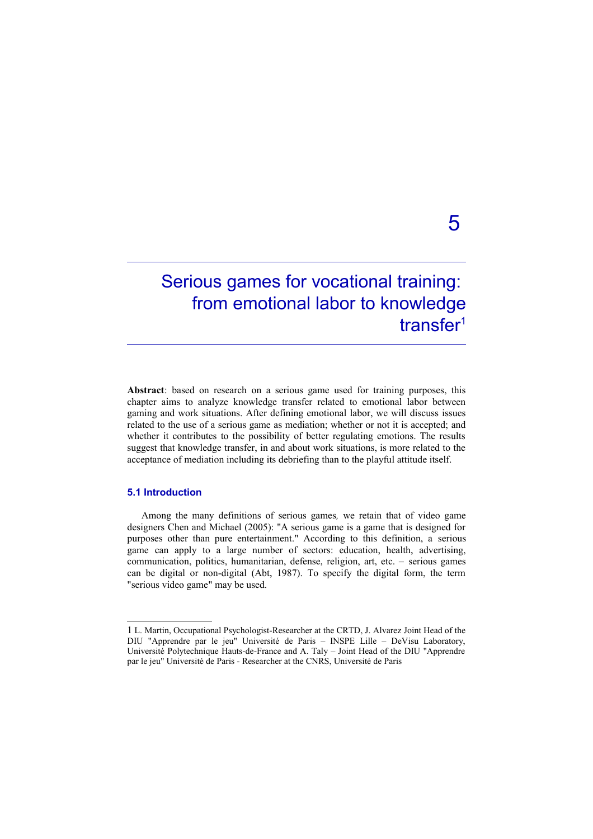# Serious games for vocational training: from emotional labor to knowledge transfer<sup>[1](#page-1-0)</sup>

**Abstract**: based on research on a serious game used for training purposes, this chapter aims to analyze knowledge transfer related to emotional labor between gaming and work situations. After defining emotional labor, we will discuss issues related to the use of a serious game as mediation; whether or not it is accepted; and whether it contributes to the possibility of better regulating emotions. The results suggest that knowledge transfer, in and about work situations, is more related to the acceptance of mediation including its debriefing than to the playful attitude itself.

#### **5.1 Introduction**

Among the many definitions of serious games*,* we retain that of video game designers Chen and Michael (2005): "A serious game is a game that is designed for purposes other than pure entertainment." According to this definition, a serious game can apply to a large number of sectors: education, health, advertising, communication, politics, humanitarian, defense, religion, art, etc. – serious games can be digital or non-digital (Abt, 1987). To specify the digital form, the term "serious video game" may be used.

# 5

<span id="page-1-0"></span><sup>1</sup> L. Martin, Occupational Psychologist-Researcher at the CRTD, J. Alvarez Joint Head of the DIU "Apprendre par le jeu" Université de Paris – INSPE Lille – DeVisu Laboratory, Université Polytechnique Hauts-de-France and A. Taly – Joint Head of the DIU "Apprendre par le jeu" Université de Paris - Researcher at the CNRS, Université de Paris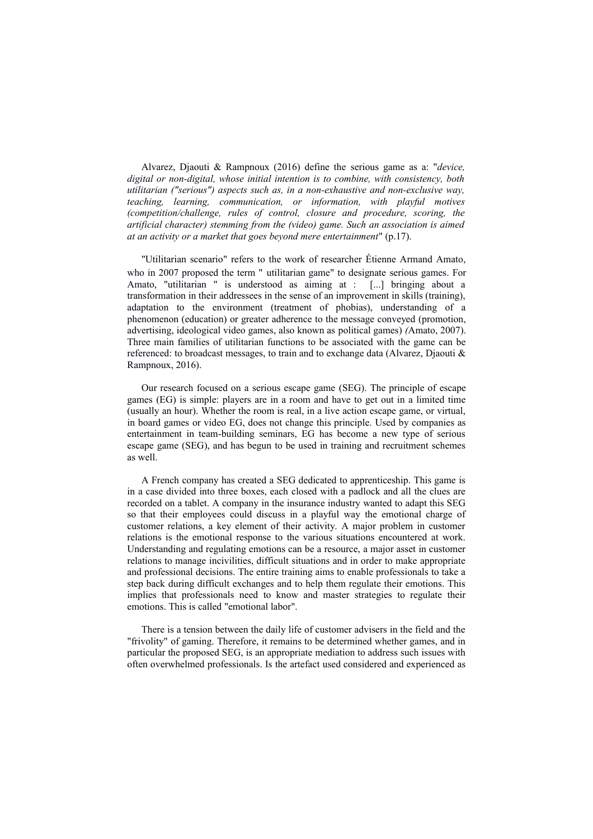Alvarez, Djaouti & Rampnoux (2016) define the serious game as a: "*device, digital or non-digital, whose initial intention is to combine, with consistency, both utilitarian ("serious") aspects such as, in a non-exhaustive and non-exclusive way, teaching, learning, communication, or information, with playful motives (competition/challenge, rules of control, closure and procedure, scoring, the artificial character) stemming from the (video) game. Such an association is aimed at an activity or a market that goes beyond mere entertainment*" (p.17).

"Utilitarian scenario" refers to the work of researcher Étienne Armand Amato, who in 2007 proposed the term " utilitarian game" to designate serious games. For Amato, "utilitarian " is understood as aiming at : [...] bringing about a transformation in their addressees in the sense of an improvement in skills (training), adaptation to the environment (treatment of phobias), understanding of a phenomenon (education) or greater adherence to the message conveyed (promotion, advertising, ideological video games, also known as political games) *(*Amato, 2007). Three main families of utilitarian functions to be associated with the game can be referenced: to broadcast messages, to train and to exchange data (Alvarez, Djaouti & Rampnoux, 2016).

Our research focused on a serious escape game (SEG). The principle of escape games (EG) is simple: players are in a room and have to get out in a limited time (usually an hour). Whether the room is real, in a live action escape game, or virtual, in board games or video EG, does not change this principle. Used by companies as entertainment in team-building seminars, EG has become a new type of serious escape game (SEG), and has begun to be used in training and recruitment schemes as well.

A French company has created a SEG dedicated to apprenticeship. This game is in a case divided into three boxes, each closed with a padlock and all the clues are recorded on a tablet. A company in the insurance industry wanted to adapt this SEG so that their employees could discuss in a playful way the emotional charge of customer relations, a key element of their activity. A major problem in customer relations is the emotional response to the various situations encountered at work. Understanding and regulating emotions can be a resource, a major asset in customer relations to manage incivilities, difficult situations and in order to make appropriate and professional decisions. The entire training aims to enable professionals to take a step back during difficult exchanges and to help them regulate their emotions. This implies that professionals need to know and master strategies to regulate their emotions. This is called "emotional labor".

There is a tension between the daily life of customer advisers in the field and the "frivolity" of gaming. Therefore, it remains to be determined whether games, and in particular the proposed SEG, is an appropriate mediation to address such issues with often overwhelmed professionals. Is the artefact used considered and experienced as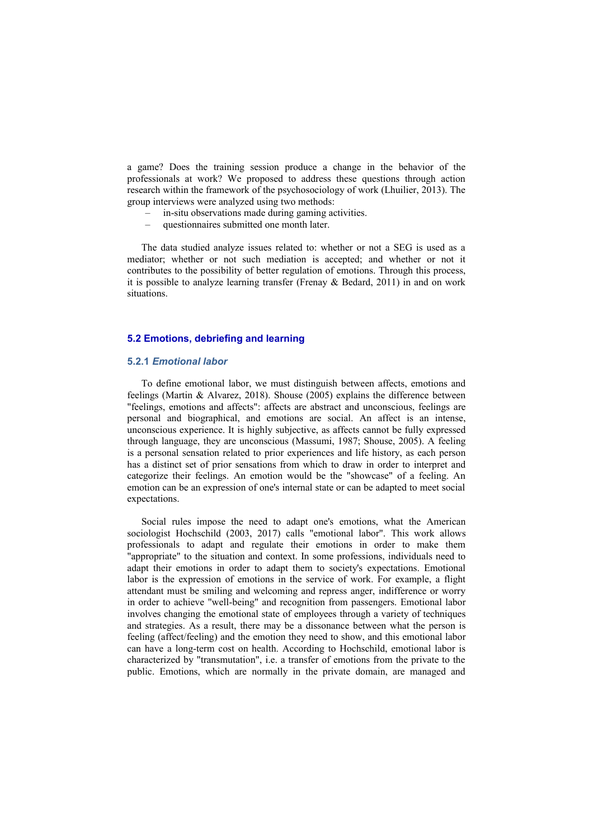a game? Does the training session produce a change in the behavior of the professionals at work? We proposed to address these questions through action research within the framework of the psychosociology of work (Lhuilier, 2013). The group interviews were analyzed using two methods:

- in-situ observations made during gaming activities.
- questionnaires submitted one month later.

The data studied analyze issues related to: whether or not a SEG is used as a mediator; whether or not such mediation is accepted; and whether or not it contributes to the possibility of better regulation of emotions. Through this process, it is possible to analyze learning transfer (Frenay & Bedard, 2011) in and on work situations.

### **5.2 Emotions, debriefing and learning**

#### **5.2.1** *Emotional labor*

To define emotional labor, we must distinguish between affects, emotions and feelings (Martin & Alvarez, 2018). Shouse (2005) explains the difference between "feelings, emotions and affects": affects are abstract and unconscious, feelings are personal and biographical, and emotions are social. An affect is an intense, unconscious experience. It is highly subjective, as affects cannot be fully expressed through language, they are unconscious (Massumi, 1987; Shouse, 2005). A feeling is a personal sensation related to prior experiences and life history, as each person has a distinct set of prior sensations from which to draw in order to interpret and categorize their feelings. An emotion would be the "showcase" of a feeling. An emotion can be an expression of one's internal state or can be adapted to meet social expectations.

Social rules impose the need to adapt one's emotions, what the American sociologist Hochschild (2003, 2017) calls "emotional labor". This work allows professionals to adapt and regulate their emotions in order to make them "appropriate" to the situation and context. In some professions, individuals need to adapt their emotions in order to adapt them to society's expectations. Emotional labor is the expression of emotions in the service of work. For example, a flight attendant must be smiling and welcoming and repress anger, indifference or worry in order to achieve "well-being" and recognition from passengers. Emotional labor involves changing the emotional state of employees through a variety of techniques and strategies. As a result, there may be a dissonance between what the person is feeling (affect/feeling) and the emotion they need to show, and this emotional labor can have a long-term cost on health. According to Hochschild, emotional labor is characterized by "transmutation", i.e. a transfer of emotions from the private to the public. Emotions, which are normally in the private domain, are managed and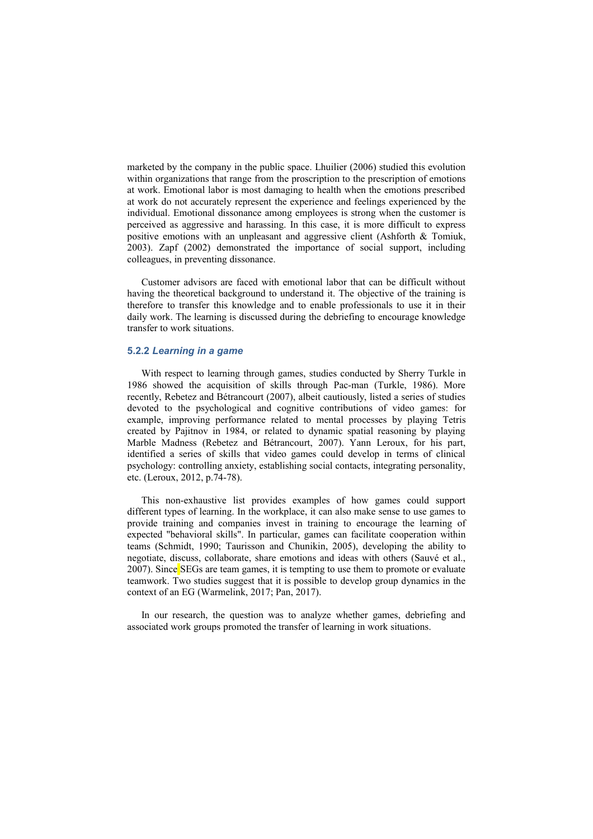marketed by the company in the public space. Lhuilier (2006) studied this evolution within organizations that range from the proscription to the prescription of emotions at work. Emotional labor is most damaging to health when the emotions prescribed at work do not accurately represent the experience and feelings experienced by the individual. Emotional dissonance among employees is strong when the customer is perceived as aggressive and harassing. In this case, it is more difficult to express positive emotions with an unpleasant and aggressive client (Ashforth & Tomiuk, 2003). Zapf (2002) demonstrated the importance of social support, including colleagues, in preventing dissonance.

Customer advisors are faced with emotional labor that can be difficult without having the theoretical background to understand it. The objective of the training is therefore to transfer this knowledge and to enable professionals to use it in their daily work. The learning is discussed during the debriefing to encourage knowledge transfer to work situations.

#### **5.2.2** *Learning in a game*

With respect to learning through games, studies conducted by Sherry Turkle in 1986 showed the acquisition of skills through Pac-man (Turkle, 1986). More recently, Rebetez and Bétrancourt (2007), albeit cautiously, listed a series of studies devoted to the psychological and cognitive contributions of video games: for example, improving performance related to mental processes by playing Tetris created by Pajitnov in 1984, or related to dynamic spatial reasoning by playing Marble Madness (Rebetez and Bétrancourt, 2007). Yann Leroux, for his part, identified a series of skills that video games could develop in terms of clinical psychology: controlling anxiety, establishing social contacts, integrating personality, etc. (Leroux, 2012, p.74-78).

This non-exhaustive list provides examples of how games could support different types of learning. In the workplace, it can also make sense to use games to provide training and companies invest in training to encourage the learning of expected "behavioral skills". In particular, games can facilitate cooperation within teams (Schmidt, 1990; Taurisson and Chunikin, 2005), developing the ability to negotiate, discuss, collaborate, share emotions and ideas with others (Sauvé et al., 2007). Since SEGs are team games, it is tempting to use them to promote or evaluate teamwork. Two studies suggest that it is possible to develop group dynamics in the context of an EG (Warmelink, 2017; Pan, 2017).

In our research, the question was to analyze whether games, debriefing and associated work groups promoted the transfer of learning in work situations.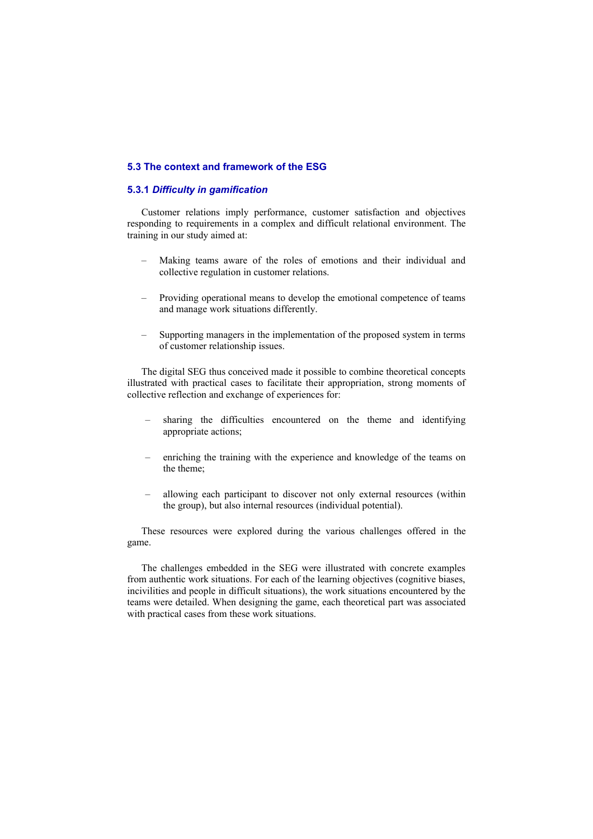#### **5.3 The context and framework of the ESG**

### **5.3.1** *Difficulty in gamification*

Customer relations imply performance, customer satisfaction and objectives responding to requirements in a complex and difficult relational environment. The training in our study aimed at:

- Making teams aware of the roles of emotions and their individual and collective regulation in customer relations.
- Providing operational means to develop the emotional competence of teams and manage work situations differently.
- Supporting managers in the implementation of the proposed system in terms of customer relationship issues.

The digital SEG thus conceived made it possible to combine theoretical concepts illustrated with practical cases to facilitate their appropriation, strong moments of collective reflection and exchange of experiences for:

- sharing the difficulties encountered on the theme and identifying appropriate actions;
- enriching the training with the experience and knowledge of the teams on the theme;
- allowing each participant to discover not only external resources (within the group), but also internal resources (individual potential).

These resources were explored during the various challenges offered in the game.

The challenges embedded in the SEG were illustrated with concrete examples from authentic work situations. For each of the learning objectives (cognitive biases, incivilities and people in difficult situations), the work situations encountered by the teams were detailed. When designing the game, each theoretical part was associated with practical cases from these work situations.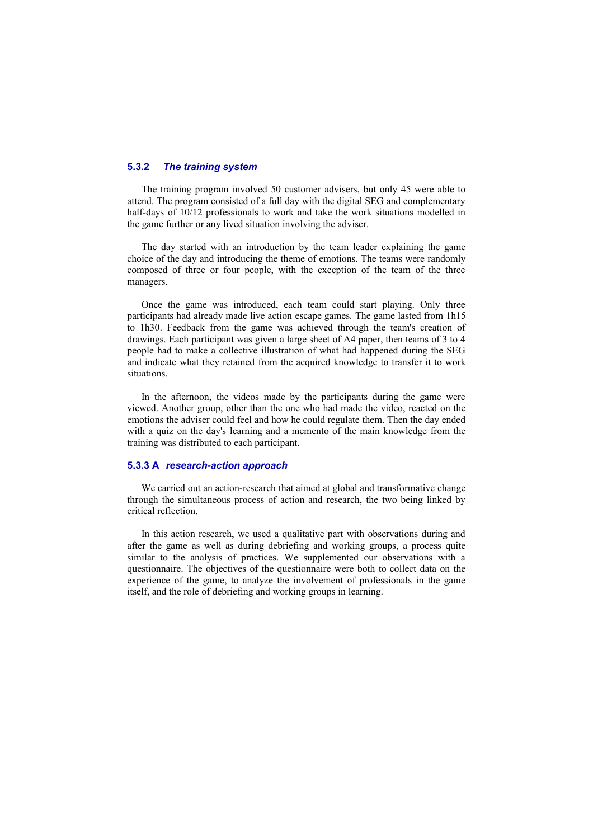#### **5.3.2** *The training system*

The training program involved 50 customer advisers, but only 45 were able to attend. The program consisted of a full day with the digital SEG and complementary half-days of 10/12 professionals to work and take the work situations modelled in the game further or any lived situation involving the adviser.

The day started with an introduction by the team leader explaining the game choice of the day and introducing the theme of emotions. The teams were randomly composed of three or four people, with the exception of the team of the three managers.

Once the game was introduced, each team could start playing. Only three participants had already made live action escape games*.* The game lasted from 1h15 to 1h30. Feedback from the game was achieved through the team's creation of drawings. Each participant was given a large sheet of A4 paper, then teams of 3 to 4 people had to make a collective illustration of what had happened during the SEG and indicate what they retained from the acquired knowledge to transfer it to work situations.

In the afternoon, the videos made by the participants during the game were viewed. Another group, other than the one who had made the video, reacted on the emotions the adviser could feel and how he could regulate them. Then the day ended with a quiz on the day's learning and a memento of the main knowledge from the training was distributed to each participant.

### **5.3.3 A** *research-action approach*

We carried out an action-research that aimed at global and transformative change through the simultaneous process of action and research, the two being linked by critical reflection.

In this action research, we used a qualitative part with observations during and after the game as well as during debriefing and working groups, a process quite similar to the analysis of practices. We supplemented our observations with a questionnaire. The objectives of the questionnaire were both to collect data on the experience of the game, to analyze the involvement of professionals in the game itself, and the role of debriefing and working groups in learning.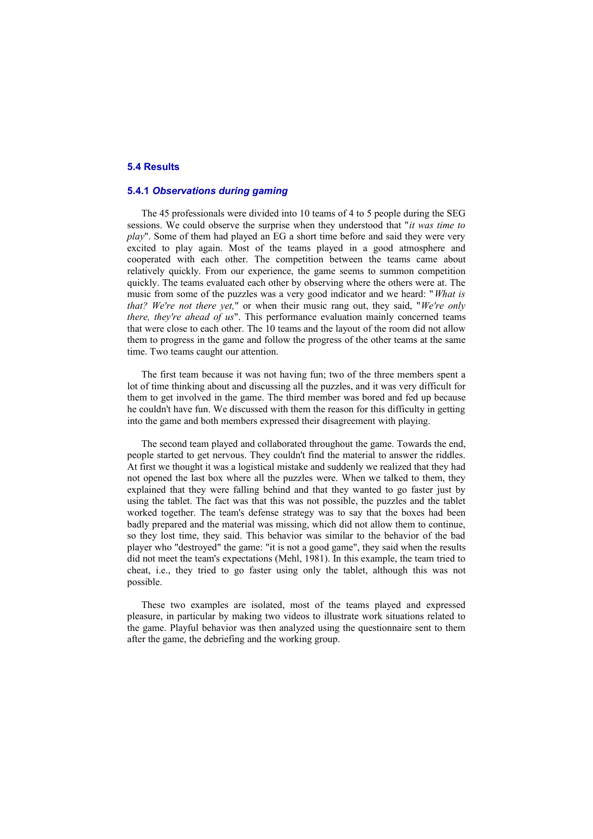### **5.4 Results**

### **5.4.1** *Observations during gaming*

The 45 professionals were divided into 10 teams of 4 to 5 people during the SEG sessions. We could observe the surprise when they understood that "*it was time to play*". Some of them had played an EG a short time before and said they were very excited to play again. Most of the teams played in a good atmosphere and cooperated with each other. The competition between the teams came about relatively quickly. From our experience, the game seems to summon competition quickly. The teams evaluated each other by observing where the others were at. The music from some of the puzzles was a very good indicator and we heard: "*What is that? We're not there yet,*" or when their music rang out, they said, "*We're only there, they're ahead of us*". This performance evaluation mainly concerned teams that were close to each other. The 10 teams and the layout of the room did not allow them to progress in the game and follow the progress of the other teams at the same time. Two teams caught our attention.

The first team because it was not having fun; two of the three members spent a lot of time thinking about and discussing all the puzzles, and it was very difficult for them to get involved in the game. The third member was bored and fed up because he couldn't have fun. We discussed with them the reason for this difficulty in getting into the game and both members expressed their disagreement with playing.

The second team played and collaborated throughout the game. Towards the end, people started to get nervous. They couldn't find the material to answer the riddles. At first we thought it was a logistical mistake and suddenly we realized that they had not opened the last box where all the puzzles were. When we talked to them, they explained that they were falling behind and that they wanted to go faster just by using the tablet. The fact was that this was not possible, the puzzles and the tablet worked together. The team's defense strategy was to say that the boxes had been badly prepared and the material was missing, which did not allow them to continue, so they lost time, they said. This behavior was similar to the behavior of the bad player who "destroyed" the game: "it is not a good game", they said when the results did not meet the team's expectations (Mehl, 1981). In this example, the team tried to cheat, i.e., they tried to go faster using only the tablet, although this was not possible.

These two examples are isolated, most of the teams played and expressed pleasure, in particular by making two videos to illustrate work situations related to the game. Playful behavior was then analyzed using the questionnaire sent to them after the game, the debriefing and the working group.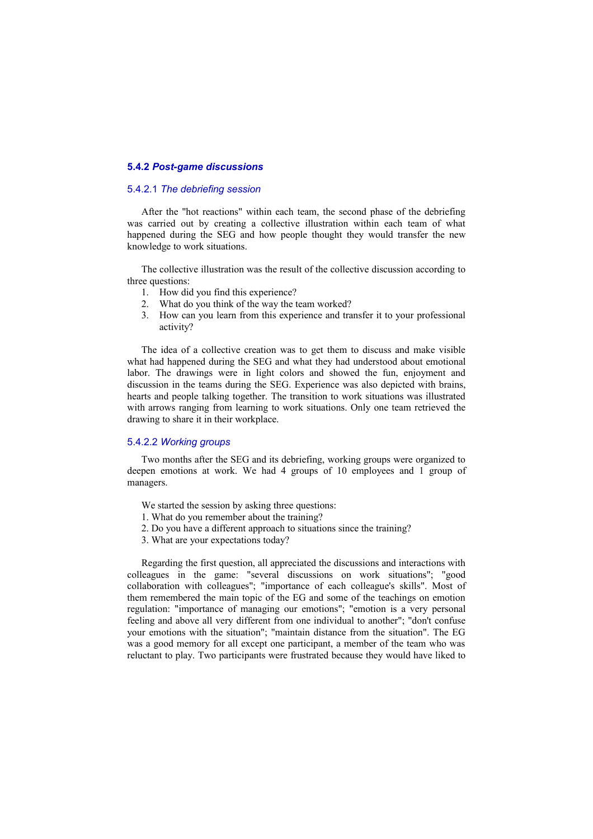#### **5.4.2** *Post-game discussions*

### 5.4.2.1 *The debriefing session*

After the "hot reactions" within each team, the second phase of the debriefing was carried out by creating a collective illustration within each team of what happened during the SEG and how people thought they would transfer the new knowledge to work situations.

The collective illustration was the result of the collective discussion according to three questions:

- 1. How did you find this experience?
- 2. What do you think of the way the team worked?
- 3. How can you learn from this experience and transfer it to your professional activity?

The idea of a collective creation was to get them to discuss and make visible what had happened during the SEG and what they had understood about emotional labor. The drawings were in light colors and showed the fun, enjoyment and discussion in the teams during the SEG. Experience was also depicted with brains, hearts and people talking together. The transition to work situations was illustrated with arrows ranging from learning to work situations. Only one team retrieved the drawing to share it in their workplace.

#### 5.4.2.2 *Working groups*

Two months after the SEG and its debriefing, working groups were organized to deepen emotions at work. We had 4 groups of 10 employees and 1 group of managers.

- We started the session by asking three questions:
- 1. What do you remember about the training?
- 2. Do you have a different approach to situations since the training?
- 3. What are your expectations today?

Regarding the first question, all appreciated the discussions and interactions with colleagues in the game: "several discussions on work situations"; "good collaboration with colleagues"; "importance of each colleague's skills". Most of them remembered the main topic of the EG and some of the teachings on emotion regulation: "importance of managing our emotions"; "emotion is a very personal feeling and above all very different from one individual to another"; "don't confuse your emotions with the situation"; "maintain distance from the situation". The EG was a good memory for all except one participant, a member of the team who was reluctant to play. Two participants were frustrated because they would have liked to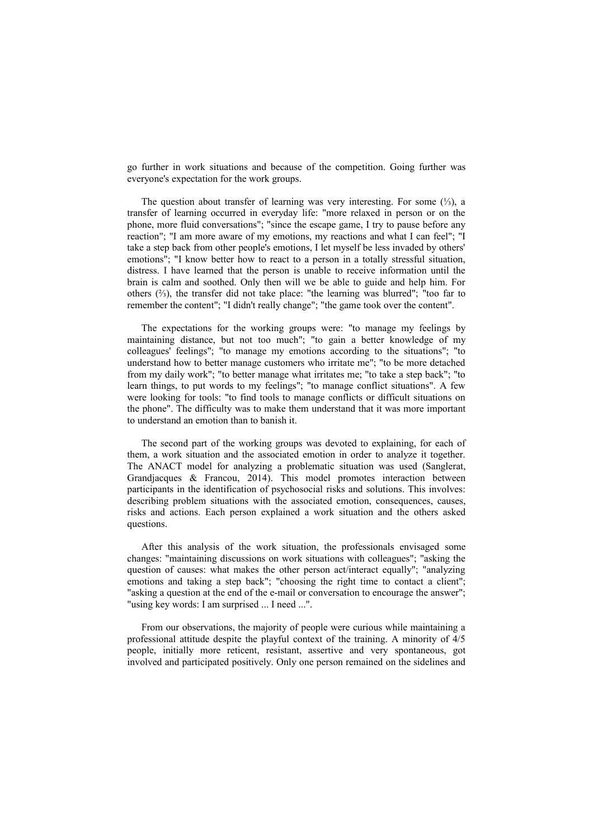go further in work situations and because of the competition. Going further was everyone's expectation for the work groups.

The question about transfer of learning was very interesting. For some (⅓), a transfer of learning occurred in everyday life: "more relaxed in person or on the phone, more fluid conversations"; "since the escape game, I try to pause before any reaction"; "I am more aware of my emotions, my reactions and what I can feel"; "I take a step back from other people's emotions, I let myself be less invaded by others' emotions"; "I know better how to react to a person in a totally stressful situation, distress. I have learned that the person is unable to receive information until the brain is calm and soothed. Only then will we be able to guide and help him. For others (⅔), the transfer did not take place: "the learning was blurred"; "too far to remember the content"; "I didn't really change"; "the game took over the content".

The expectations for the working groups were: "to manage my feelings by maintaining distance, but not too much"; "to gain a better knowledge of my colleagues' feelings"; "to manage my emotions according to the situations"; "to understand how to better manage customers who irritate me"; "to be more detached from my daily work"; "to better manage what irritates me; "to take a step back"; "to learn things, to put words to my feelings"; "to manage conflict situations". A few were looking for tools: "to find tools to manage conflicts or difficult situations on the phone". The difficulty was to make them understand that it was more important to understand an emotion than to banish it.

The second part of the working groups was devoted to explaining, for each of them, a work situation and the associated emotion in order to analyze it together. The ANACT model for analyzing a problematic situation was used (Sanglerat, Grandjacques & Francou, 2014). This model promotes interaction between participants in the identification of psychosocial risks and solutions. This involves: describing problem situations with the associated emotion, consequences, causes, risks and actions. Each person explained a work situation and the others asked questions.

After this analysis of the work situation, the professionals envisaged some changes: "maintaining discussions on work situations with colleagues"; "asking the question of causes: what makes the other person act/interact equally"; "analyzing emotions and taking a step back"; "choosing the right time to contact a client"; "asking a question at the end of the e-mail or conversation to encourage the answer"; "using key words: I am surprised ... I need ...".

From our observations, the majority of people were curious while maintaining a professional attitude despite the playful context of the training. A minority of 4/5 people, initially more reticent, resistant, assertive and very spontaneous, got involved and participated positively. Only one person remained on the sidelines and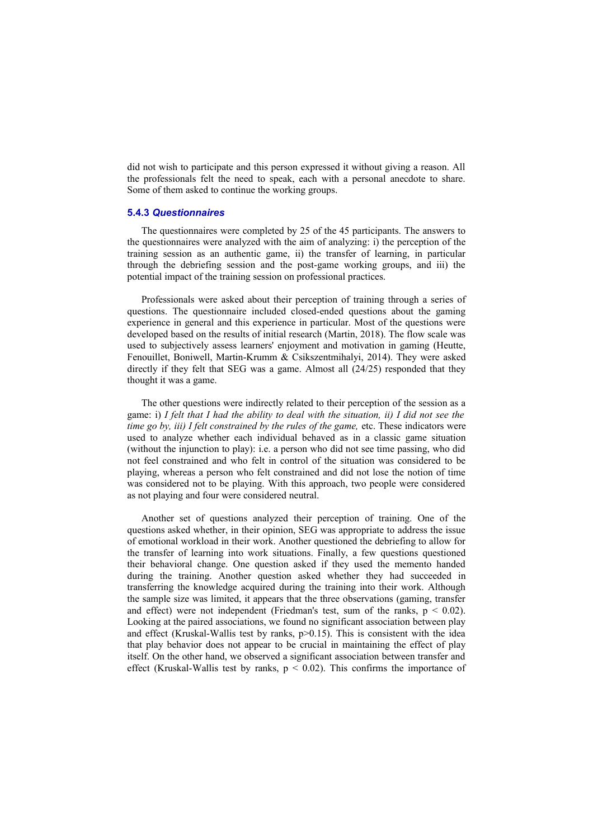did not wish to participate and this person expressed it without giving a reason. All the professionals felt the need to speak, each with a personal anecdote to share. Some of them asked to continue the working groups.

#### **5.4.3** *Questionnaires*

The questionnaires were completed by 25 of the 45 participants. The answers to the questionnaires were analyzed with the aim of analyzing: i) the perception of the training session as an authentic game, ii) the transfer of learning, in particular through the debriefing session and the post-game working groups, and iii) the potential impact of the training session on professional practices.

Professionals were asked about their perception of training through a series of questions. The questionnaire included closed-ended questions about the gaming experience in general and this experience in particular. Most of the questions were developed based on the results of initial research (Martin, 2018). The flow scale was used to subjectively assess learners' enjoyment and motivation in gaming (Heutte, Fenouillet, Boniwell, Martin-Krumm & Csikszentmihalyi, 2014). They were asked directly if they felt that SEG was a game. Almost all (24/25) responded that they thought it was a game.

The other questions were indirectly related to their perception of the session as a game: i) *I felt that I had the ability to deal with the situation, ii) I did not see the time go by, iii) I felt constrained by the rules of the game, etc. These indicators were* used to analyze whether each individual behaved as in a classic game situation (without the injunction to play): i.e. a person who did not see time passing, who did not feel constrained and who felt in control of the situation was considered to be playing, whereas a person who felt constrained and did not lose the notion of time was considered not to be playing. With this approach, two people were considered as not playing and four were considered neutral.

Another set of questions analyzed their perception of training. One of the questions asked whether, in their opinion, SEG was appropriate to address the issue of emotional workload in their work. Another questioned the debriefing to allow for the transfer of learning into work situations. Finally, a few questions questioned their behavioral change. One question asked if they used the memento handed during the training. Another question asked whether they had succeeded in transferring the knowledge acquired during the training into their work. Although the sample size was limited, it appears that the three observations (gaming, transfer and effect) were not independent (Friedman's test, sum of the ranks,  $p < 0.02$ ). Looking at the paired associations, we found no significant association between play and effect (Kruskal-Wallis test by ranks,  $p > 0.15$ ). This is consistent with the idea that play behavior does not appear to be crucial in maintaining the effect of play itself. On the other hand, we observed a significant association between transfer and effect (Kruskal-Wallis test by ranks,  $p < 0.02$ ). This confirms the importance of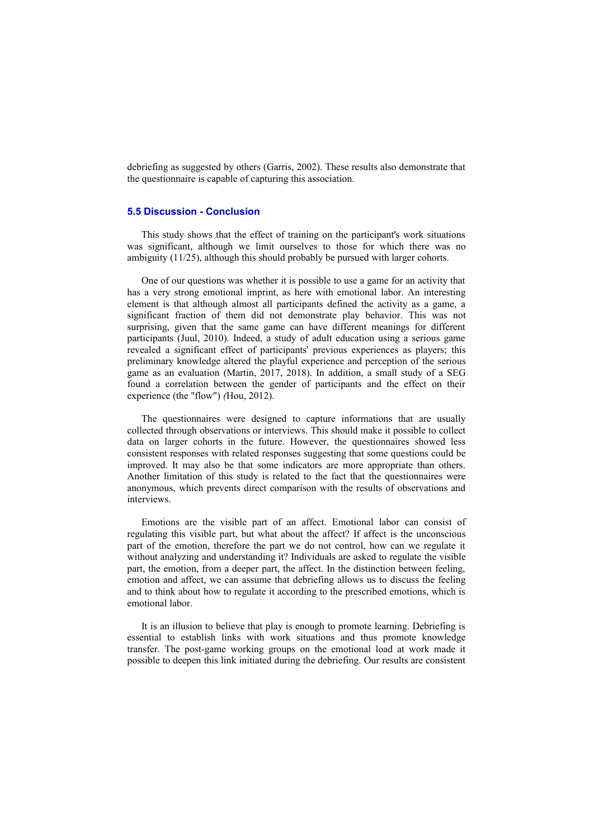debriefing as suggested by others (Garris, 2002). These results also demonstrate that the questionnaire is capable of capturing this association.

### **5.5 Discussion - Conclusion**

This study shows that the effect of training on the participant's work situations was significant, although we limit ourselves to those for which there was no ambiguity (11/25), although this should probably be pursued with larger cohorts.

One of our questions was whether it is possible to use a game for an activity that has a very strong emotional imprint, as here with emotional labor. An interesting element is that although almost all participants defined the activity as a game, a significant fraction of them did not demonstrate play behavior. This was not surprising, given that the same game can have different meanings for different participants (Juul, 2010). Indeed, a study of adult education using a serious game revealed a significant effect of participants' previous experiences as players; this preliminary knowledge altered the playful experience and perception of the serious game as an evaluation (Martin, 2017, 2018). In addition, a small study of a SEG found a correlation between the gender of participants and the effect on their experience (the "flow") *(*Hou, 2012).

The questionnaires were designed to capture informations that are usually collected through observations or interviews. This should make it possible to collect data on larger cohorts in the future. However, the questionnaires showed less consistent responses with related responses suggesting that some questions could be improved. It may also be that some indicators are more appropriate than others. Another limitation of this study is related to the fact that the questionnaires were anonymous, which prevents direct comparison with the results of observations and interviews.

Emotions are the visible part of an affect. Emotional labor can consist of regulating this visible part, but what about the affect? If affect is the unconscious part of the emotion, therefore the part we do not control, how can we regulate it without analyzing and understanding it? Individuals are asked to regulate the visible part, the emotion, from a deeper part, the affect. In the distinction between feeling, emotion and affect, we can assume that debriefing allows us to discuss the feeling and to think about how to regulate it according to the prescribed emotions, which is emotional labor.

It is an illusion to believe that play is enough to promote learning. Debriefing is essential to establish links with work situations and thus promote knowledge transfer. The post-game working groups on the emotional load at work made it possible to deepen this link initiated during the debriefing. Our results are consistent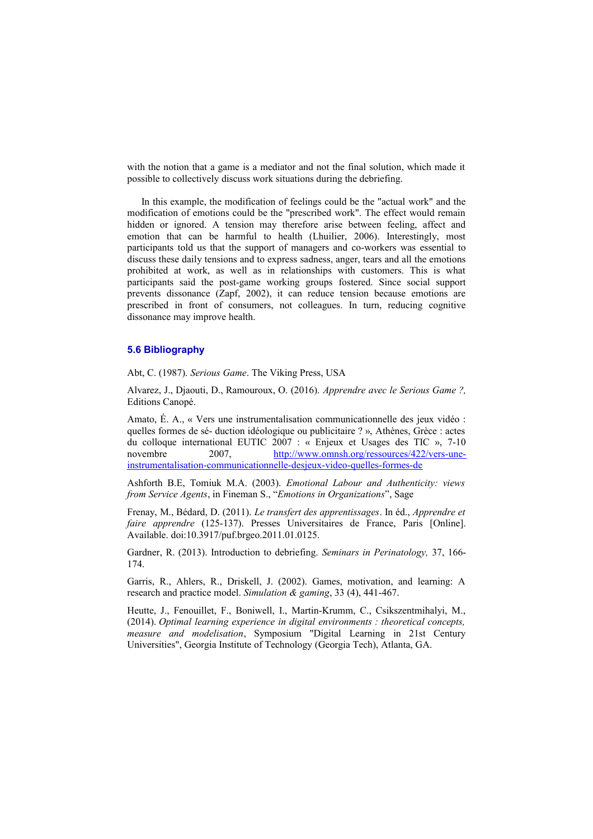with the notion that a game is a mediator and not the final solution, which made it possible to collectively discuss work situations during the debriefing.

In this example, the modification of feelings could be the "actual work" and the modification of emotions could be the "prescribed work". The effect would remain hidden or ignored. A tension may therefore arise between feeling, affect and emotion that can be harmful to health (Lhuilier, 2006). Interestingly, most participants told us that the support of managers and co-workers was essential to discuss these daily tensions and to express sadness, anger, tears and all the emotions prohibited at work, as well as in relationships with customers. This is what participants said the post-game working groups fostered. Since social support prevents dissonance (Zapf, 2002), it can reduce tension because emotions are prescribed in front of consumers, not colleagues. In turn, reducing cognitive dissonance may improve health.

### **5.6 Bibliography**

Abt, C. (1987). *Serious Game*. The Viking Press, USA

Alvarez, J., Djaouti, D., Ramouroux, O. (2016). *Apprendre avec le Serious Game ?,* Editions Canopé.

Amato, É. A., « Vers une instrumentalisation communicationnelle des jeux vidéo : quelles formes de sé- duction idéologique ou publicitaire ? », Athènes, Grèce : actes du colloque international EUTIC 2007 : « Enjeux et Usages des TIC », 7-10 novembre 2007, [http://www.omnsh.org/ressources/422/vers-une](http://www.omnsh.org/ressources/422/vers-une-instrumentalisation-communicationnelle-desjeux-video-quelles-formes-de)[instrumentalisation-communicationnelle-desjeux-video-quelles-formes-de](http://www.omnsh.org/ressources/422/vers-une-instrumentalisation-communicationnelle-desjeux-video-quelles-formes-de)

Ashforth B.E, Tomiuk M.A. (2003). *Emotional Labour and Authenticity: views from Service Agents*, in Fineman S., "*Emotions in Organizations*", Sage

Frenay, M., Bédard, D. (2011). *Le transfert des apprentissages*. In éd., *Apprendre et faire apprendre* (125-137). Presses Universitaires de France, Paris [Online]. Available. doi:10.3917/puf.brgeo.2011.01.0125.

Gardner, R. (2013). Introduction to debriefing. *Seminars in Perinatology,* 37, 166- 174.

Garris, R., Ahlers, R., Driskell, J. (2002). Games, motivation, and learning: A research and practice model. *Simulation & gaming*, 33 (4), 441-467.

Heutte, J., Fenouillet, F., Boniwell, I., Martin-Krumm, C., Csikszentmihalyi, M., (2014). *Optimal learning experience in digital environments : theoretical concepts, measure and modelisation*, Symposium "Digital Learning in 21st Century Universities", Georgia Institute of Technology (Georgia Tech), Atlanta, GA.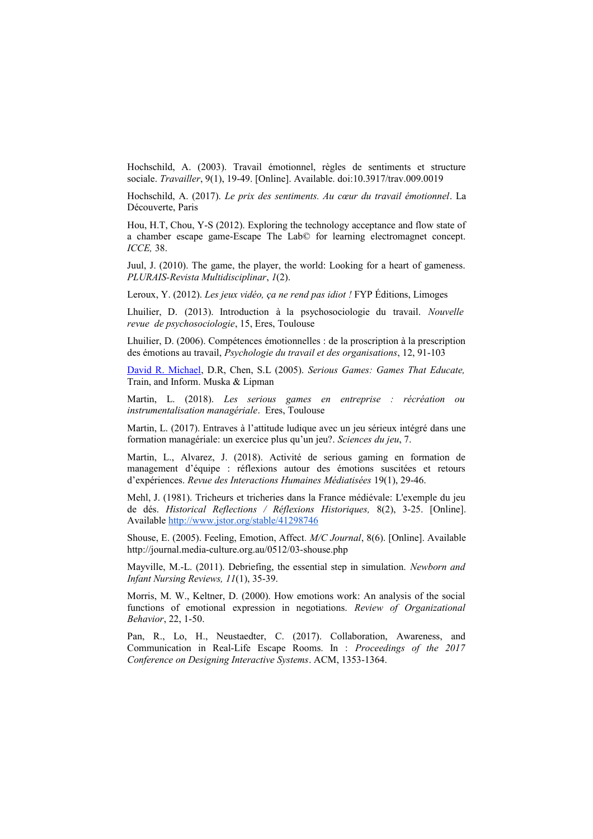Hochschild, A. (2003). Travail émotionnel, règles de sentiments et structure sociale. *Travailler*, 9(1), 19-49. [Online]. Available. doi:10.3917/trav.009.0019

Hochschild, A. (2017). *Le prix des sentiments. Au cœur du travail émotionnel*. La Découverte, Paris

Hou, H.T, Chou, Y-S (2012). Exploring the technology acceptance and flow state of a chamber escape game-Escape The Lab© for learning electromagnet concept. *ICCE,* 38.

Juul, J. (2010). The game, the player, the world: Looking for a heart of gameness. *PLURAIS-Revista Multidisciplinar*, *1*(2).

Leroux, Y. (2012). *Les jeux vidéo, ça ne rend pas idiot !* FYP Éditions, Limoges

Lhuilier, D. (2013). Introduction à la psychosociologie du travail. *Nouvelle revue de psychosociologie*, 15, Eres, Toulouse

Lhuilier, D. (2006). Compétences émotionnelles : de la proscription à la prescription des émotions au travail, *Psychologie du travail et des organisations*, 12, 91-103

[David R. Michael,](https://dl.acm.org/profile/81367594600) D.R, Chen, S.L (2005). *Serious Games: Games That Educate,* Train, and Inform. Muska & Lipman

Martin, L. (2018). *Les serious games en entreprise : récréation ou instrumentalisation managériale*. Eres, Toulouse

Martin, L. (2017). Entraves à l'attitude ludique avec un jeu sérieux intégré dans une formation managériale: un exercice plus qu'un jeu?. *Sciences du jeu*, 7.

Martin, L., Alvarez, J. (2018). Activité de serious gaming en formation de management d'équipe : réflexions autour des émotions suscitées et retours d'expériences. *Revue des Interactions Humaines Médiatisées* 19(1), 29-46.

Mehl, J. (1981). Tricheurs et tricheries dans la France médiévale: L'exemple du jeu de dés. *Historical Reflections / Réflexions Historiques,* 8(2), 3-25. [Online]. Available<http://www.jstor.org/stable/41298746>

Shouse, E. (2005). Feeling, Emotion, Affect*. M/C Journal*, 8(6). [Online]. Available http://journal.media-culture.org.au/0512/03-shouse.php

Mayville, M.-L. (2011). Debriefing, the essential step in simulation. *Newborn and Infant Nursing Reviews, 11*(1), 35-39.

Morris, M. W., Keltner, D. (2000). How emotions work: An analysis of the social functions of emotional expression in negotiations. *Review of Organizational Behavior*, 22, 1-50.

Pan, R., Lo, H., Neustaedter, C. (2017). Collaboration, Awareness, and Communication in Real-Life Escape Rooms. In : *Proceedings of the 2017 Conference on Designing Interactive Systems*. ACM, 1353-1364.